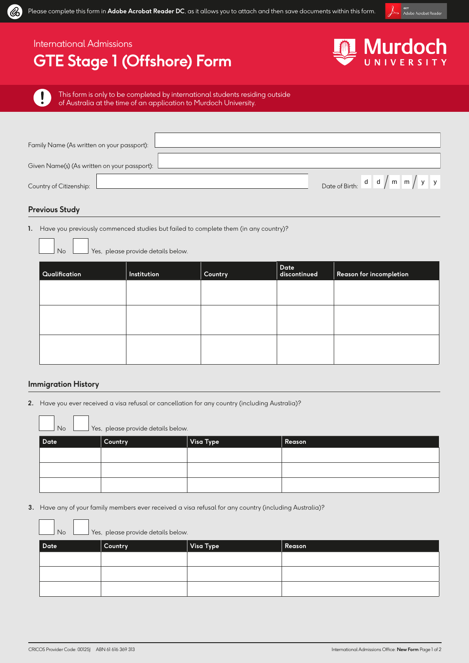

# International Admissions

# **GTE Stage 1 (Offshore) Form**



 $\mathbf{I}$ 

Q.

This form is only to be completed by international students residing outside of Australia at the time of an application to Murdoch University.

| Family Name (As written on your passport):   |                                                       |
|----------------------------------------------|-------------------------------------------------------|
| Given Name(s) (As written on your passport): |                                                       |
| Country of Citizenship:                      | Date of Birth: $d \mid d \mid m \mid m \mid y \mid y$ |

## **Previous Study**

**1.** Have you previously commenced studies but failed to complete them (in any country)?

No <u>No Stes</u>, please provide details below.

| Qualification | Institution | Country | Date<br>discontinued | Reason for incompletion |
|---------------|-------------|---------|----------------------|-------------------------|
|               |             |         |                      |                         |
|               |             |         |                      |                         |
|               |             |         |                      |                         |
|               |             |         |                      |                         |
|               |             |         |                      |                         |

### **Immigration History**

**2.** Have you ever received a visa refusal or cancellation for any country (including Australia)?

| No<br>Yes, please provide details below. |         |           |        |
|------------------------------------------|---------|-----------|--------|
| Date                                     | Country | Visa Type | Reason |
|                                          |         |           |        |
|                                          |         |           |        |
|                                          |         |           |        |

**3.** Have any of your family members ever received a visa refusal for any country (including Australia)?

| $\mathsf{No}$<br>Yes, please provide details below. |         |           |        |
|-----------------------------------------------------|---------|-----------|--------|
| Date                                                | Country | Visa Type | Reason |
|                                                     |         |           |        |
|                                                     |         |           |        |
|                                                     |         |           |        |